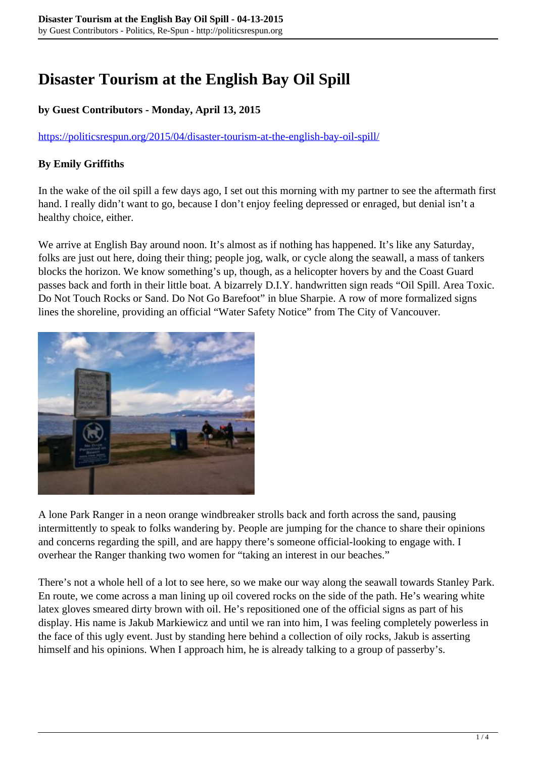## **Disaster Tourism at the English Bay Oil Spill**

## **by Guest Contributors - Monday, April 13, 2015**

<https://politicsrespun.org/2015/04/disaster-tourism-at-the-english-bay-oil-spill/>

## **By Emily Griffiths**

In the wake of the oil spill a few days ago, I set out this morning with my partner to see the aftermath first hand. I really didn't want to go, because I don't enjoy feeling depressed or enraged, but denial isn't a healthy choice, either.

We arrive at English Bay around noon. It's almost as if nothing has happened. It's like any Saturday, folks are just out here, doing their thing; people jog, walk, or cycle along the seawall, a mass of tankers blocks the horizon. We know something's up, though, as a helicopter hovers by and the Coast Guard passes back and forth in their little boat. A bizarrely D.I.Y. handwritten sign reads "Oil Spill. Area Toxic. Do Not Touch Rocks or Sand. Do Not Go Barefoot" in blue Sharpie. A row of more formalized signs lines the shoreline, providing an official "Water Safety Notice" from The City of Vancouver.



A lone Park Ranger in a neon orange windbreaker strolls back and forth across the sand, pausing intermittently to speak to folks wandering by. People are jumping for the chance to share their opinions and concerns regarding the spill, and are happy there's someone official-looking to engage with. I overhear the Ranger thanking two women for "taking an interest in our beaches."

There's not a whole hell of a lot to see here, so we make our way along the seawall towards Stanley Park. En route, we come across a man lining up oil covered rocks on the side of the path. He's wearing white latex gloves smeared dirty brown with oil. He's repositioned one of the official signs as part of his display. His name is Jakub Markiewicz and until we ran into him, I was feeling completely powerless in the face of this ugly event. Just by standing here behind a collection of oily rocks, Jakub is asserting himself and his opinions. When I approach him, he is already talking to a group of passerby's.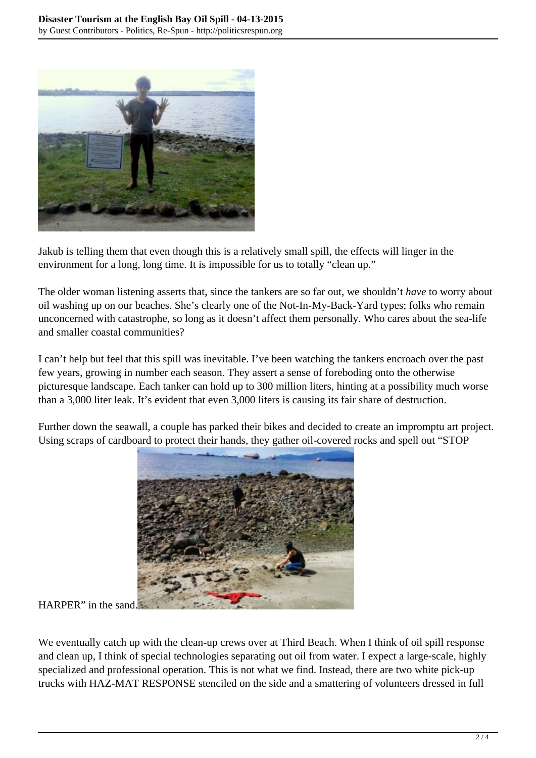

Jakub is telling them that even though this is a relatively small spill, the effects will linger in the environment for a long, long time. It is impossible for us to totally "clean up."

The older woman listening asserts that, since the tankers are so far out, we shouldn't *have* to worry about oil washing up on our beaches. She's clearly one of the Not-In-My-Back-Yard types; folks who remain unconcerned with catastrophe, so long as it doesn't affect them personally. Who cares about the sea-life and smaller coastal communities?

I can't help but feel that this spill was inevitable. I've been watching the tankers encroach over the past few years, growing in number each season. They assert a sense of foreboding onto the otherwise picturesque landscape. Each tanker can hold up to 300 million liters, hinting at a possibility much worse than a 3,000 liter leak. It's evident that even 3,000 liters is causing its fair share of destruction.

Further down the seawall, a couple has parked their bikes and decided to create an impromptu art project. Using scraps of cardboard to protect their hands, they gather oil-covered rocks and spell out "STOP



## HARPER" in the sand.

We eventually catch up with the clean-up crews over at Third Beach. When I think of oil spill response and clean up, I think of special technologies separating out oil from water. I expect a large-scale, highly specialized and professional operation. This is not what we find. Instead, there are two white pick-up trucks with HAZ-MAT RESPONSE stenciled on the side and a smattering of volunteers dressed in full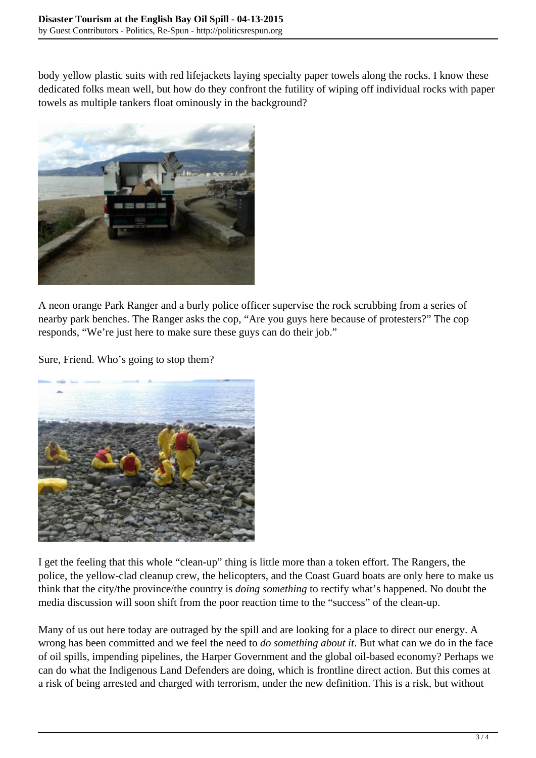body yellow plastic suits with red lifejackets laying specialty paper towels along the rocks. I know these dedicated folks mean well, but how do they confront the futility of wiping off individual rocks with paper towels as multiple tankers float ominously in the background?



A neon orange Park Ranger and a burly police officer supervise the rock scrubbing from a series of nearby park benches. The Ranger asks the cop, "Are you guys here because of protesters?" The cop responds, "We're just here to make sure these guys can do their job."

Sure, Friend. Who's going to stop them?



I get the feeling that this whole "clean-up" thing is little more than a token effort. The Rangers, the police, the yellow-clad cleanup crew, the helicopters, and the Coast Guard boats are only here to make us think that the city/the province/the country is *doing something* to rectify what's happened. No doubt the media discussion will soon shift from the poor reaction time to the "success" of the clean-up.

Many of us out here today are outraged by the spill and are looking for a place to direct our energy. A wrong has been committed and we feel the need to *do something about it*. But what can we do in the face of oil spills, impending pipelines, the Harper Government and the global oil-based economy? Perhaps we can do what the Indigenous Land Defenders are doing, which is frontline direct action. But this comes at a risk of being arrested and charged with terrorism, under the new definition. This is a risk, but without